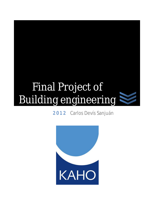# Final Project of Building engineering



2012 Carlos Devís Sanjuán

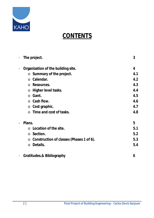

### **CONTENTS**

| $\overline{\phantom{a}}$     | The project.                                        | 3   |
|------------------------------|-----------------------------------------------------|-----|
| $\qquad \qquad \blacksquare$ | Organization of the building site.                  | 4   |
|                              | $\circ$ Summary of the project.                     | 4.1 |
|                              | Calendar.<br>$\Omega$                               | 4.2 |
|                              | Resources.<br>$\Omega$                              | 4.3 |
|                              | Higher level tasks.<br>$\circ$                      | 4.4 |
|                              | $\circ$ Gant.                                       | 4.5 |
|                              | $\circ$ Cash flow.                                  | 4.6 |
|                              | $\circ$ Cost graphic.                               | 4.7 |
|                              | Time and cost of tasks.<br>$\Omega$                 | 4.8 |
|                              | Plans.                                              | 5   |
|                              | Location of the site.                               | 5.1 |
|                              | $\circ$ Section.                                    | 5.2 |
|                              | Construction of classes (Phases 1 of 6).<br>$\circ$ | 5.3 |
|                              | Details.<br>$\circ$                                 | 5.4 |
| $\overline{\phantom{a}}$     | <b>Gratitudes.&amp; Bibliography</b>                | 6   |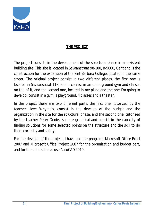

#### **THE PROJECT**

The project consists in the development of the structural phase in an existent building site. This site is located in Savaanstraat 98-100, B-9000, Gent and is the construction for the expansion of the Sint-Barbara College, located in the same street. The original project consist in two different places, the first one is located in Savaanstraat 118, and it consist in an underground gym and classes on top of it, and the second one, located in my place and the one I'm going to develop, consist in a gym, a playground, 4 classes and a theater.

In the project there are two different parts, the first one, tutorized by the teacher Lieve Weymeis, consist in the develop of the budget and the organization in the site for the structural phase, and the second one, tutorized by the teacher Peter Denie, is more graphical and consist in the capacity of finding solutions for some selected points on the structure and the skill to do them correctly and safety.

For the develop of the project, I have use the programs Microsoft Office Excel 2007 and Microsoft Office Project 2007 for the organization and budget part, and for the details I have use AutoCAD 2010.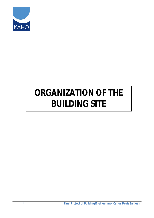

## *ORGANIZATION OF THE BUILDING SITE*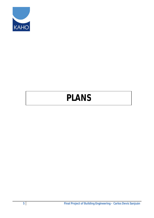

## *PLANS*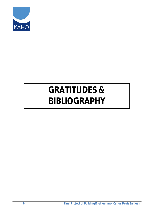

## *GRATITUDES &*  **BIBLIOGRAPHY**